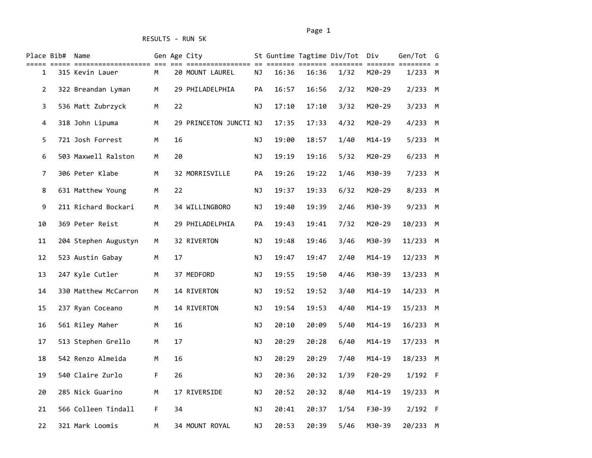|                | Place Bib# Name |                      |    |    | Gen Age City           |           |       |       | St Guntime Tagtime Div/Tot Div |            | Gen/Tot G<br>=== = |  |
|----------------|-----------------|----------------------|----|----|------------------------|-----------|-------|-------|--------------------------------|------------|--------------------|--|
| 1              |                 | 315 Kevin Lauer      | M  |    | 20 MOUNT LAUREL        | ΝJ        | 16:36 | 16:36 | 1/32                           | M20-29     | 1/233 M            |  |
| $\overline{2}$ |                 | 322 Breandan Lyman   | M  |    | 29 PHILADELPHIA        | PA        | 16:57 | 16:56 | 2/32                           | M20-29     | $2/233$ M          |  |
| 3              |                 | 536 Matt Zubrzyck    | M  | 22 |                        | ΝJ        | 17:10 | 17:10 | 3/32                           | M20-29     | $3/233$ M          |  |
| 4              |                 | 318 John Lipuma      | М  |    | 29 PRINCETON JUNCTI NJ |           | 17:35 | 17:33 | 4/32                           | M20-29     | $4/233$ M          |  |
| 5              |                 | 721 Josh Forrest     | M  | 16 |                        | ΝJ        | 19:00 | 18:57 | 1/40                           | $M14 - 19$ | 5/233 M            |  |
| 6              |                 | 503 Maxwell Ralston  | M  | 20 |                        | ΝJ        | 19:19 | 19:16 | 5/32                           | M20-29     | $6/233$ M          |  |
| 7              |                 | 306 Peter Klabe      | М  |    | 32 MORRISVILLE         | PA        | 19:26 | 19:22 | 1/46                           | M30-39     | 7/233 M            |  |
| 8              |                 | 631 Matthew Young    | М  | 22 |                        | ΝJ        | 19:37 | 19:33 | 6/32                           | M20-29     | 8/233 M            |  |
| 9              |                 | 211 Richard Bockari  | M  |    | 34 WILLINGBORO         | <b>NJ</b> | 19:40 | 19:39 | 2/46                           | M30-39     | 9/233 M            |  |
| 10             |                 | 369 Peter Reist      | М  |    | 29 PHILADELPHIA        | PA        | 19:43 | 19:41 | 7/32                           | M20-29     | 10/233 M           |  |
| 11             |                 | 204 Stephen Augustyn | M  |    | 32 RIVERTON            | <b>NJ</b> | 19:48 | 19:46 | 3/46                           | M30-39     | 11/233 M           |  |
| 12             |                 | 523 Austin Gabay     | M  | 17 |                        | ΝJ        | 19:47 | 19:47 | 2/40                           | $M14 - 19$ | 12/233 M           |  |
| 13             |                 | 247 Kyle Cutler      | М  |    | 37 MEDFORD             | ΝJ        | 19:55 | 19:50 | 4/46                           | M30-39     | 13/233 M           |  |
| 14             |                 | 330 Matthew McCarron | М  |    | 14 RIVERTON            | ΝJ        | 19:52 | 19:52 | 3/40                           | $M14 - 19$ | 14/233 M           |  |
| 15             |                 | 237 Ryan Coceano     | M  |    | 14 RIVERTON            | <b>NJ</b> | 19:54 | 19:53 | 4/40                           | $M14 - 19$ | 15/233 M           |  |
| 16             |                 | 561 Riley Maher      | M  | 16 |                        | NJ        | 20:10 | 20:09 | 5/40                           | $M14 - 19$ | 16/233 M           |  |
| 17             |                 | 513 Stephen Grello   | M  | 17 |                        | <b>NJ</b> | 20:29 | 20:28 | 6/40                           | $M14 - 19$ | 17/233 M           |  |
| 18             |                 | 542 Renzo Almeida    | M  | 16 |                        | ΝJ        | 20:29 | 20:29 | 7/40                           | $M14 - 19$ | 18/233 M           |  |
| 19             |                 | 540 Claire Zurlo     | F  | 26 |                        | ΝJ        | 20:36 | 20:32 | 1/39                           | $F20-29$   | $1/192$ F          |  |
| 20             |                 | 285 Nick Guarino     | M  |    | 17 RIVERSIDE           | <b>NJ</b> | 20:52 | 20:32 | 8/40                           | $M14 - 19$ | 19/233 M           |  |
| 21             |                 | 566 Colleen Tindall  | F. | 34 |                        | ΝJ        | 20:41 | 20:37 | 1/54                           | F30-39     | $2/192$ F          |  |
| 22             |                 | 321 Mark Loomis      | M  |    | 34 MOUNT ROYAL         | ΝJ        | 20:53 | 20:39 | 5/46                           | M30-39     | 20/233 M           |  |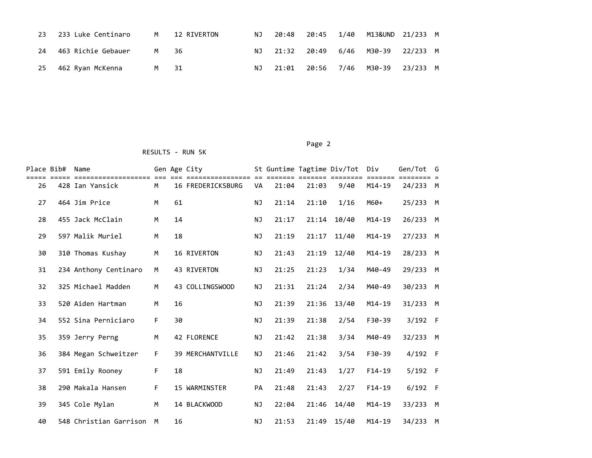|    | 23 233 Luke Centinaro |                | M 12 RIVERTON |  |  | NJ 20:48 20:45 1/40 M13&UND 21/233 M |  |
|----|-----------------------|----------------|---------------|--|--|--------------------------------------|--|
| 24 | 463 Richie Gebauer    | M <sub>N</sub> | - 36          |  |  | NJ 21:32 20:49 6/46 M30-39 22/233 M  |  |
| 25 | 462 Ryan McKenna      | M 31           |               |  |  | NJ 21:01 20:56 7/46 M30-39 23/233 M  |  |

| Place Bib# | Name<br>========================= |    |    | Gen Age City<br>================ |           |       |       | St Guntime Tagtime Div/Tot Div | =====      | Gen/Tot G |  |
|------------|-----------------------------------|----|----|----------------------------------|-----------|-------|-------|--------------------------------|------------|-----------|--|
| 26         | 428 Ian Yansick                   | M  |    | 16 FREDERICKSBURG                | VA        | 21:04 | 21:03 | 9/40                           | $M14 - 19$ | 24/233 M  |  |
| 27         | 464 Jim Price                     | M  | 61 |                                  | <b>NJ</b> | 21:14 | 21:10 | 1/16                           | M60+       | 25/233 M  |  |
| 28         | 455 Jack McClain                  | M  | 14 |                                  | <b>NJ</b> | 21:17 | 21:14 | 10/40                          | $M14 - 19$ | 26/233 M  |  |
| 29         | 597 Malik Muriel                  | M  | 18 |                                  | NJ        | 21:19 | 21:17 | 11/40                          | $M14 - 19$ | 27/233 M  |  |
| 30         | 310 Thomas Kushay                 | M  |    | 16 RIVERTON                      | <b>NJ</b> | 21:43 | 21:19 | 12/40                          | $M14 - 19$ | 28/233 M  |  |
| 31         | 234 Anthony Centinaro             | M  |    | 43 RIVERTON                      | NJ        | 21:25 | 21:23 | 1/34                           | M40-49     | 29/233 M  |  |
| 32         | 325 Michael Madden                | M  |    | 43 COLLINGSWOOD                  | <b>NJ</b> | 21:31 | 21:24 | 2/34                           | M40-49     | 30/233 M  |  |
| 33         | 520 Aiden Hartman                 | M  | 16 |                                  | <b>NJ</b> | 21:39 | 21:36 | 13/40                          | $M14 - 19$ | 31/233 M  |  |
| 34         | 552 Sina Perniciaro               | F. | 30 |                                  | <b>NJ</b> | 21:39 | 21:38 | 2/54                           | F30-39     | $3/192$ F |  |
| 35         | 359 Jerry Perng                   | M  |    | 42 FLORENCE                      | <b>NJ</b> | 21:42 | 21:38 | 3/34                           | M40-49     | 32/233 M  |  |
| 36         | 384 Megan Schweitzer              | F. |    | <b>39 MERCHANTVILLE</b>          | <b>NJ</b> | 21:46 | 21:42 | 3/54                           | $F30-39$   | $4/192$ F |  |
| 37         | 591 Emily Rooney                  | F  | 18 |                                  | <b>NJ</b> | 21:49 | 21:43 | 1/27                           | $F14-19$   | $5/192$ F |  |
| 38         | 290 Makala Hansen                 | F  |    | <b>15 WARMINSTER</b>             | PA        | 21:48 | 21:43 | 2/27                           | $F14-19$   | $6/192$ F |  |
| 39         | 345 Cole Mylan                    | M  |    | 14 BLACKWOOD                     | <b>NJ</b> | 22:04 | 21:46 | 14/40                          | $M14 - 19$ | 33/233 M  |  |
| 40         | 548 Christian Garrison            | M  | 16 |                                  | <b>NJ</b> | 21:53 | 21:49 | 15/40                          | $M14 - 19$ | 34/233 M  |  |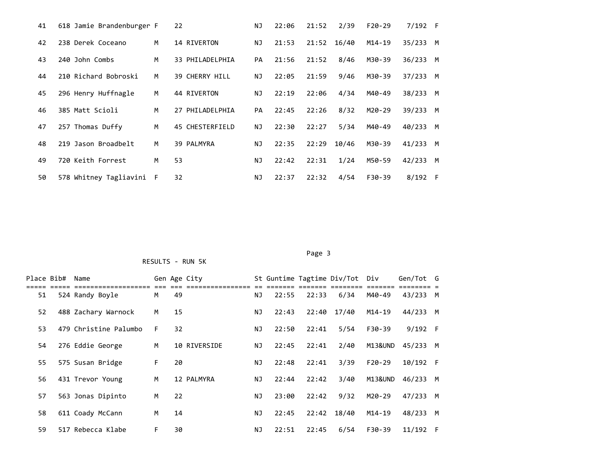| 41 | 618 Jamie Brandenburger F |   | 22                    | ΝJ        | 22:06 | 21:52 | 2/39  | $F20-29$ | $7/192$ F |     |
|----|---------------------------|---|-----------------------|-----------|-------|-------|-------|----------|-----------|-----|
| 42 | 238 Derek Coceano         | M | 14 RIVERTON           | <b>NJ</b> | 21:53 | 21:52 | 16/40 | $M14-19$ | 35/233    | M   |
| 43 | 240 John Combs            | M | 33 PHILADELPHIA       | <b>PA</b> | 21:56 | 21:52 | 8/46  | M30-39   | 36/233    | M   |
| 44 | 210 Richard Bobroski      | M | <b>39 CHERRY HILL</b> | NJ        | 22:05 | 21:59 | 9/46  | M30-39   | 37/233    | M   |
| 45 | 296 Henry Huffnagle       | M | 44 RIVERTON           | ΝJ        | 22:19 | 22:06 | 4/34  | M40-49   | 38/233    | M   |
| 46 | 385 Matt Scioli           | м | 27 PHILADELPHIA       | PA        | 22:45 | 22:26 | 8/32  | M20-29   | 39/233    | M   |
| 47 | 257 Thomas Duffy          | M | 45 CHESTERFIELD       | NJ        | 22:30 | 22:27 | 5/34  | M40-49   | 40/233    | M   |
| 48 | 219 Jason Broadbelt       | м | 39 PALMYRA            | NJ.       | 22:35 | 22:29 | 10/46 | M30-39   | 41/233    | M   |
| 49 | 720 Keith Forrest         | M | 53                    | ΝJ        | 22:42 | 22:31 | 1/24  | M50-59   | 42/233    | M   |
| 50 | 578 Whitney Tagliavini F  |   | 32                    | ΝJ        | 22:37 | 22:32 | 4/54  | F30-39   | 8/192     | - F |

Page 3 and 2012 and 2012 and 2012 and 2012 and 2012 and 2012 and 2012 and 2012 and 2012 and 2012 and 2012 and

|    | Place Bib# Name |                       |    |    | Gen Age City |     |       |                            | St Guntime Tagtime Div/Tot Div |         | Gen/Tot G  |  |
|----|-----------------|-----------------------|----|----|--------------|-----|-------|----------------------------|--------------------------------|---------|------------|--|
| 51 |                 | 524 Randy Boyle       | M  | 49 |              | NJ  | 22:55 | ====== ======= ==<br>22:33 | 6/34                           | M40-49  | 43/233 M   |  |
| 52 |                 | 488 Zachary Warnock   | M  | 15 |              | NJ. | 22:43 |                            | 22:40 17/40                    | M14-19  | 44/233 M   |  |
| 53 |                 | 479 Christine Palumbo | F. | 32 |              | NJ  | 22:50 | 22:41                      | $5/54$                         | F30-39  | $9/192$ F  |  |
| 54 |                 | 276 Eddie George      | M  |    | 10 RIVERSIDE | NJ  | 22:45 | 22:41                      | 2/40                           | M13&UND | 45/233 M   |  |
| 55 |                 | 575 Susan Bridge      | F. | 20 |              | NJ. | 22:48 | 22:41                      | 3/39                           | F20-29  | 10/192 F   |  |
| 56 |                 | 431 Trevor Young      | M  |    | 12 PALMYRA   | NJ  | 22:44 | 22:42                      | 3/40                           | M13&UND | 46/233 M   |  |
| 57 |                 | 563 Jonas Dipinto     | M  | 22 |              | ΝJ  | 23:00 | 22:42                      | 9/32                           | M20-29  | 47/233 M   |  |
| 58 |                 | 611 Coady McCann      | M  | 14 |              | ΝJ  | 22:45 |                            | 22:42 18/40                    | M14-19  | 48/233 M   |  |
| 59 |                 | 517 Rebecca Klabe     | F. | 30 |              | ΝJ  | 22:51 | 22:45                      | 6/54                           | F30-39  | $11/192$ F |  |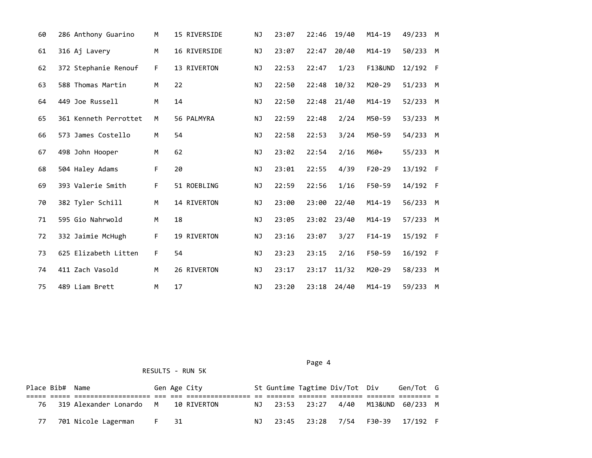| 60 | 286 Anthony Guarino   | М  | 15 RIVERSIDE | ΝJ        | 23:07 | 22:46 | 19/40 | $M14 - 19$         | 49/233 M |  |
|----|-----------------------|----|--------------|-----------|-------|-------|-------|--------------------|----------|--|
| 61 | 316 Aj Lavery         | M  | 16 RIVERSIDE | ΝJ        | 23:07 | 22:47 | 20/40 | $M14 - 19$         | 50/233 M |  |
| 62 | 372 Stephanie Renouf  | F. | 13 RIVERTON  | <b>NJ</b> | 22:53 | 22:47 | 1/23  | <b>F13&amp;UND</b> | 12/192 F |  |
| 63 | 588 Thomas Martin     | M  | 22           | <b>NJ</b> | 22:50 | 22:48 | 10/32 | M20-29             | 51/233 M |  |
| 64 | 449 Joe Russell       | М  | 14           | ΝJ        | 22:50 | 22:48 | 21/40 | M14-19             | 52/233 M |  |
| 65 | 361 Kenneth Perrottet | M  | 56 PALMYRA   | ΝJ        | 22:59 | 22:48 | 2/24  | M50-59             | 53/233 M |  |
| 66 | 573 James Costello    | M  | 54           | ΝJ        | 22:58 | 22:53 | 3/24  | M50-59             | 54/233 M |  |
| 67 | 498 John Hooper       | M  | 62           | <b>NJ</b> | 23:02 | 22:54 | 2/16  | M60+               | 55/233 M |  |
| 68 | 504 Haley Adams       | F  | 20           | <b>NJ</b> | 23:01 | 22:55 | 4/39  | $F20-29$           | 13/192 F |  |
| 69 | 393 Valerie Smith     | F. | 51 ROEBLING  | ΝJ        | 22:59 | 22:56 | 1/16  | F50-59             | 14/192 F |  |
| 70 | 382 Tyler Schill      | M  | 14 RIVERTON  | <b>NJ</b> | 23:00 | 23:00 | 22/40 | $M14 - 19$         | 56/233 M |  |
| 71 | 595 Gio Nahrwold      | M  | 18           | <b>NJ</b> | 23:05 | 23:02 | 23/40 | $M14 - 19$         | 57/233 M |  |
| 72 | 332 Jaimie McHugh     | F  | 19 RIVERTON  | NJ        | 23:16 | 23:07 | 3/27  | $F14-19$           | 15/192 F |  |
| 73 | 625 Elizabeth Litten  | F  | 54           | NJ        | 23:23 | 23:15 | 2/16  | F50-59             | 16/192 F |  |
| 74 | 411 Zach Vasold       | M  | 26 RIVERTON  | ΝJ        | 23:17 | 23:17 | 11/32 | M20-29             | 58/233 M |  |
| 75 | 489 Liam Brett        | M  | 17           | ΝJ        | 23:20 | 23:18 | 24/40 | $M14 - 19$         | 59/233 M |  |

Page 4 and the state of the state of the state of the state of the state of the state of the state of the state of the state of the state of the state of the state of the state of the state of the state of the state of the

|    | Place Bib# Name |                                        |      | Gen Age City |  | St Guntime Tagtime Div/Tot Div | Gen/Tot G                            |  |
|----|-----------------|----------------------------------------|------|--------------|--|--------------------------------|--------------------------------------|--|
|    |                 |                                        |      |              |  |                                |                                      |  |
|    |                 | 76 319 Alexander Lonardo M 10 RIVERTON |      |              |  |                                | NJ 23:53 23:27 4/40 M13&UND 60/233 M |  |
| 77 |                 | 701 Nicole Lagerman                    | F 31 |              |  |                                | NJ 23:45 23:28 7/54 F30-39 17/192 F  |  |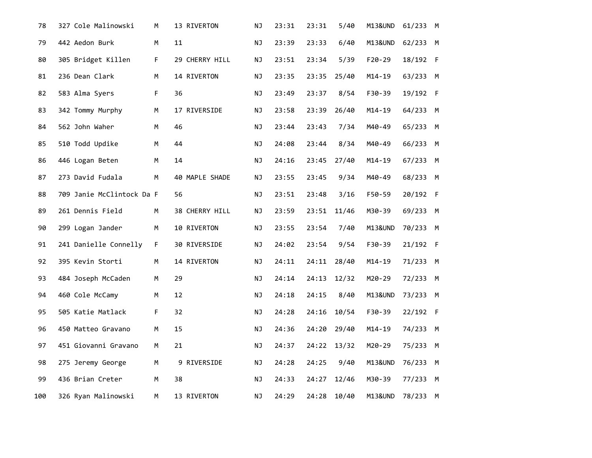| 78  | 327 Cole Malinowski       | М  | 13 RIVERTON    | ΝJ | 23:31 | 23:31 | 5/40  | M13&UND    | 61/233 M |  |
|-----|---------------------------|----|----------------|----|-------|-------|-------|------------|----------|--|
| 79  | 442 Aedon Burk            | M  | 11             | NJ | 23:39 | 23:33 | 6/40  | M13&UND    | 62/233 M |  |
| 80  | 305 Bridget Killen        | F. | 29 CHERRY HILL | NJ | 23:51 | 23:34 | 5/39  | F20-29     | 18/192 F |  |
| 81  | 236 Dean Clark            | M  | 14 RIVERTON    | ΝJ | 23:35 | 23:35 | 25/40 | $M14 - 19$ | 63/233 M |  |
| 82  | 583 Alma Syers            | F. | 36             | ΝJ | 23:49 | 23:37 | 8/54  | F30-39     | 19/192 F |  |
| 83  | 342 Tommy Murphy          | M  | 17 RIVERSIDE   | ΝJ | 23:58 | 23:39 | 26/40 | M14-19     | 64/233 M |  |
| 84  | 562 John Waher            | M  | 46             | ΝJ | 23:44 | 23:43 | 7/34  | M40-49     | 65/233 M |  |
| 85  | 510 Todd Updike           | М  | 44             | ΝJ | 24:08 | 23:44 | 8/34  | M40-49     | 66/233 M |  |
| 86  | 446 Logan Beten           | M  | 14             | ΝJ | 24:16 | 23:45 | 27/40 | M14-19     | 67/233 M |  |
| 87  | 273 David Fudala          | M  | 40 MAPLE SHADE | ΝJ | 23:55 | 23:45 | 9/34  | M40-49     | 68/233 M |  |
| 88  | 709 Janie McClintock Da F |    | 56             | ΝJ | 23:51 | 23:48 | 3/16  | F50-59     | 20/192 F |  |
| 89  | 261 Dennis Field          | M  | 38 CHERRY HILL | NJ | 23:59 | 23:51 | 11/46 | M30-39     | 69/233 M |  |
| 90  | 299 Logan Jander          | M  | 10 RIVERTON    | ΝJ | 23:55 | 23:54 | 7/40  | M13&UND    | 70/233 M |  |
| 91  | 241 Danielle Connelly     | F. | 30 RIVERSIDE   | ΝJ | 24:02 | 23:54 | 9/54  | F30-39     | 21/192 F |  |
| 92  | 395 Kevin Storti          | M  | 14 RIVERTON    | ΝJ | 24:11 | 24:11 | 28/40 | $M14-19$   | 71/233 M |  |
| 93  | 484 Joseph McCaden        | М  | 29             | NJ | 24:14 | 24:13 | 12/32 | M20-29     | 72/233 M |  |
| 94  | 460 Cole McCamy           | М  | 12             | ΝJ | 24:18 | 24:15 | 8/40  | M13&UND    | 73/233 M |  |
| 95  | 505 Katie Matlack         | F. | 32             | ΝJ | 24:28 | 24:16 | 10/54 | F30-39     | 22/192 F |  |
| 96  | 450 Matteo Gravano        | М  | 15             | ΝJ | 24:36 | 24:20 | 29/40 | $M14 - 19$ | 74/233 M |  |
| 97  | 451 Giovanni Gravano      | M  | 21             | ΝJ | 24:37 | 24:22 | 13/32 | M20-29     | 75/233 M |  |
| 98  | 275 Jeremy George         | М  | 9 RIVERSIDE    | ΝJ | 24:28 | 24:25 | 9/40  | M13&UND    | 76/233 M |  |
| 99  | 436 Brian Creter          | М  | 38             | ΝJ | 24:33 | 24:27 | 12/46 | M30-39     | 77/233 M |  |
| 100 | 326 Ryan Malinowski       | M  | 13 RIVERTON    | ΝJ | 24:29 | 24:28 | 10/40 | M13&UND    | 78/233 M |  |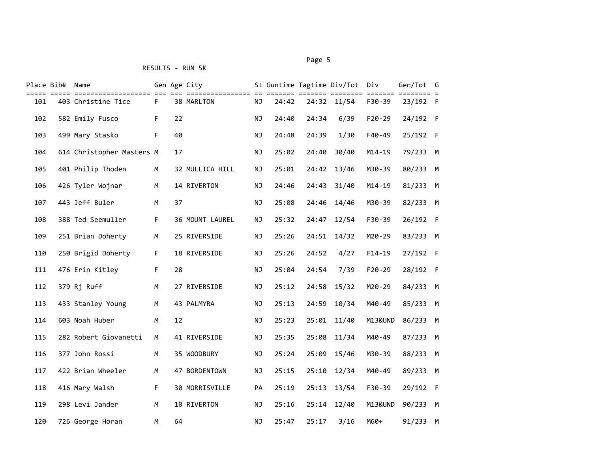|     | Place Bib# Name |                           |    |    | Gen Age City    |           |       |       | St Guntime Tagtime Div/Tot Div |            | Gen/Tot G |  |
|-----|-----------------|---------------------------|----|----|-----------------|-----------|-------|-------|--------------------------------|------------|-----------|--|
| 101 |                 | 403 Christine Tice        | F. |    | 38 MARLTON      | NJ        | 24:42 |       | 24:32 11/54                    | F30-39     | 23/192 F  |  |
| 102 |                 | 582 Emily Fusco           | F. | 22 |                 | ΝJ        | 24:40 | 24:34 | 6/39                           | $F20-29$   | 24/192 F  |  |
| 103 |                 | 499 Mary Stasko           | F. | 40 |                 | NJ        | 24:48 | 24:39 | 1/30                           | F40-49     | 25/192 F  |  |
| 104 |                 | 614 Christopher Masters M |    | 17 |                 | ΝJ        | 25:02 | 24:40 | 30/40                          | $M14 - 19$ | 79/233 M  |  |
| 105 |                 | 401 Philip Thoden         | M  |    | 32 MULLICA HILL | ΝJ        | 25:01 | 24:42 | 13/46                          | M30-39     | 80/233 M  |  |
| 106 |                 | 426 Tyler Wojnar          | M  |    | 14 RIVERTON     | ΝJ        | 24:46 | 24:43 | 31/40                          | $M14 - 19$ | 81/233 M  |  |
| 107 |                 | 443 Jeff Buler            | M  | 37 |                 | ΝJ        | 25:08 | 24:46 | 14/46                          | M30-39     | 82/233 M  |  |
| 108 |                 | 388 Ted Seemuller         | F. |    | 36 MOUNT LAUREL | ΝJ        | 25:32 | 24:47 | 12/54                          | F30-39     | 26/192 F  |  |
| 109 |                 | 251 Brian Doherty         | M  |    | 25 RIVERSIDE    | ΝJ        | 25:26 | 24:51 | 14/32                          | M20-29     | 83/233 M  |  |
| 110 |                 | 250 Brigid Doherty        | F. |    | 18 RIVERSIDE    | ΝJ        | 25:26 | 24:52 | 4/27                           | $F14-19$   | 27/192 F  |  |
| 111 |                 | 476 Erin Kitley           | F. | 28 |                 | ΝJ        | 25:04 | 24:54 | 7/39                           | $F20-29$   | 28/192 F  |  |
| 112 |                 | 379 Rj Ruff               | М  |    | 27 RIVERSIDE    | ΝJ        | 25:12 | 24:58 | 15/32                          | M20-29     | 84/233 M  |  |
| 113 |                 | 433 Stanley Young         | M  |    | 43 PALMYRA      | ΝJ        | 25:13 | 24:59 | 10/34                          | M40-49     | 85/233 M  |  |
| 114 |                 | 603 Noah Huber            | M  | 12 |                 | <b>NJ</b> | 25:23 | 25:01 | 11/40                          | M13&UND    | 86/233 M  |  |
| 115 |                 | 282 Robert Giovanetti     | м  |    | 41 RIVERSIDE    | ΝJ        | 25:35 | 25:08 | 11/34                          | M40-49     | 87/233 M  |  |
| 116 |                 | 377 John Rossi            | M  |    | 35 WOODBURY     | <b>NJ</b> | 25:24 | 25:09 | 15/46                          | M30-39     | 88/233 M  |  |
| 117 |                 | 422 Brian Wheeler         | м  |    | 47 BORDENTOWN   | ΝJ        | 25:15 | 25:10 | 12/34                          | M40-49     | 89/233 M  |  |
| 118 |                 | 416 Mary Walsh            | F. |    | 30 MORRISVILLE  | PA        | 25:19 | 25:13 | 13/54                          | $F30-39$   | 29/192 F  |  |
| 119 |                 | 298 Levi Jander           | M  |    | 10 RIVERTON     | ΝJ        | 25:16 | 25:14 | 12/40                          | M13&UND    | 90/233 M  |  |
| 120 |                 | 726 George Horan          | м  | 64 |                 | ΝJ        | 25:47 | 25:17 | 3/16                           | M60+       | 91/233 M  |  |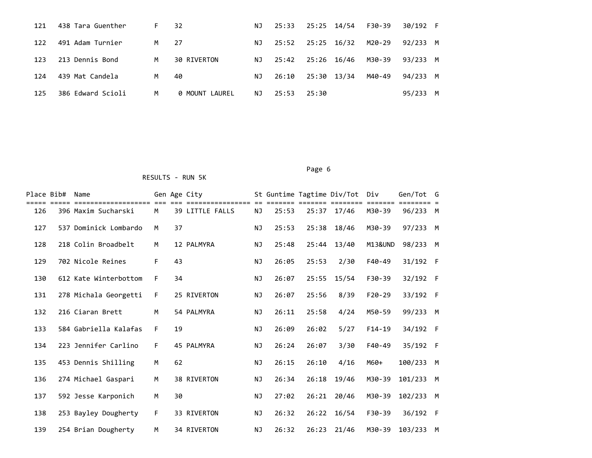| 121 | 438 Tara Guenther | F. | 32                    | NJ  | 25:33 | 25:25 14/54 |       | F30-39 | 30/192 F |  |
|-----|-------------------|----|-----------------------|-----|-------|-------------|-------|--------|----------|--|
| 122 | 491 Adam Turnier  | M  | - 27                  | NJ. | 25:52 | 25:25       | 16/32 | M20-29 | 92/233 M |  |
| 123 | 213 Dennis Bond   | M  | 30 RIVERTON           | NJ. | 25:42 | 25:26 16/46 |       | M30-39 | 93/233 M |  |
| 124 | 439 Mat Candela   | M  | 40                    | ΝJ  | 26:10 | 25:30 13/34 |       | M40-49 | 94/233 M |  |
| 125 | 386 Edward Scioli | M  | <b>0 MOUNT LAUREL</b> | NJ  | 25:53 | 25:30       |       |        | 95/233 M |  |

| Place Bib# | Name                  |    |    | Gen Age City           |           |       |       | St Guntime Tagtime Div/Tot Div |                    | Gen/Tot  | G |
|------------|-----------------------|----|----|------------------------|-----------|-------|-------|--------------------------------|--------------------|----------|---|
| 126        | 396 Maxim Sucharski   | M  |    | <b>39 LITTLE FALLS</b> | ΝJ        | 25:53 | 25:37 | 17/46                          | M30-39             | 96/233   | M |
| 127        | 537 Dominick Lombardo | M  | 37 |                        | <b>NJ</b> | 25:53 | 25:38 | 18/46                          | M30-39             | 97/233   | M |
| 128        | 218 Colin Broadbelt   | M  |    | 12 PALMYRA             | <b>NJ</b> | 25:48 | 25:44 | 13/40                          | <b>M13&amp;UND</b> | 98/233   | M |
| 129        | 702 Nicole Reines     | F  | 43 |                        | <b>NJ</b> | 26:05 | 25:53 | 2/30                           | F40-49             | 31/192 F |   |
| 130        | 612 Kate Winterbottom | F. | 34 |                        | <b>NJ</b> | 26:07 | 25:55 | 15/54                          | F30-39             | 32/192 F |   |
| 131        | 278 Michala Georgetti | F  |    | 25 RIVERTON            | <b>NJ</b> | 26:07 | 25:56 | 8/39                           | $F20-29$           | 33/192 F |   |
| 132        | 216 Ciaran Brett      | M  |    | 54 PALMYRA             | <b>NJ</b> | 26:11 | 25:58 | 4/24                           | M50-59             | 99/233 M |   |
| 133        | 584 Gabriella Kalafas | F. | 19 |                        | <b>NJ</b> | 26:09 | 26:02 | 5/27                           | $F14-19$           | 34/192 F |   |
| 134        | 223 Jennifer Carlino  | F  |    | 45 PALMYRA             | <b>NJ</b> | 26:24 | 26:07 | 3/30                           | F40-49             | 35/192 F |   |
| 135        | 453 Dennis Shilling   | M  | 62 |                        | <b>NJ</b> | 26:15 | 26:10 | 4/16                           | M60+               | 100/233  | м |
| 136        | 274 Michael Gaspari   | M  |    | 38 RIVERTON            | <b>NJ</b> | 26:34 | 26:18 | 19/46                          | M30-39             | 101/233  | M |
| 137        | 592 Jesse Karponich   | M  | 30 |                        | <b>NJ</b> | 27:02 | 26:21 | 20/46                          | M30-39             | 102/233  | M |
| 138        | 253 Bayley Dougherty  | F  |    | 33 RIVERTON            | <b>NJ</b> | 26:32 | 26:22 | 16/54                          | F30-39             | 36/192 F |   |
| 139        | 254 Brian Dougherty   | M  |    | 34 RIVERTON            | NJ        | 26:32 | 26:23 | 21/46                          | M30-39             | 103/233  | м |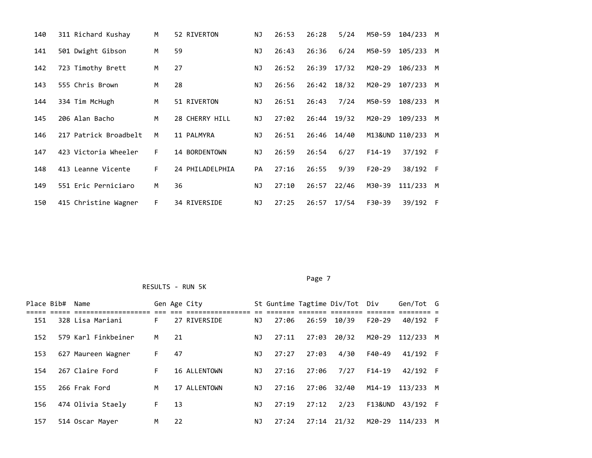| 140 | 311 Richard Kushay    | M  | 52 RIVERTON     | ΝJ        | 26:53 | 26:28 | 5/24  | M50-59   | 104/233         | M   |
|-----|-----------------------|----|-----------------|-----------|-------|-------|-------|----------|-----------------|-----|
| 141 | 501 Dwight Gibson     | M  | 59              | ΝJ        | 26:43 | 26:36 | 6/24  | M50-59   | 105/233         | M   |
| 142 | 723 Timothy Brett     | M  | 27              | ΝJ        | 26:52 | 26:39 | 17/32 | M20-29   | 106/233         | M   |
| 143 | 555 Chris Brown       | M  | 28              | ΝJ        | 26:56 | 26:42 | 18/32 | M20-29   | 107/233         | M   |
| 144 | 334 Tim McHugh        | M  | 51 RIVERTON     | ΝJ        | 26:51 | 26:43 | 7/24  | M50-59   | 108/233         | M   |
| 145 | 206 Alan Bacho        | M  | 28 CHERRY HILL  | ΝJ        | 27:02 | 26:44 | 19/32 | M20-29   | 109/233         | M   |
| 146 | 217 Patrick Broadbelt | M  | 11 PALMYRA      | ΝJ        | 26:51 | 26:46 | 14/40 |          | M13&UND 110/233 | M   |
| 147 | 423 Victoria Wheeler  | F. | 14 BORDENTOWN   | ΝJ        | 26:59 | 26:54 | 6/27  | $F14-19$ | 37/192 F        |     |
| 148 | 413 Leanne Vicente    | F. | 24 PHILADELPHIA | <b>PA</b> | 27:16 | 26:55 | 9/39  | $F20-29$ | 38/192 F        |     |
| 149 | 551 Eric Perniciaro   | м  | 36              | ΝJ        | 27:10 | 26:57 | 22/46 | M30-39   | 111/233         | M   |
| 150 | 415 Christine Wagner  | F. | 34 RIVERSIDE    | ΝJ        | 27:25 | 26:57 | 17/54 | F30-39   | 39/192          | - F |

 Page 7 RESULTS - RUN 5K

| Place Bib# | Name                |    |    | Gen Age City |    |       |       | St Guntime Tagtime Div/Tot Div |          | Gen/Tot G        |   |
|------------|---------------------|----|----|--------------|----|-------|-------|--------------------------------|----------|------------------|---|
| 151        | 328 Lisa Mariani    | F. |    | 27 RIVERSIDE | NJ | 27:06 | 26:59 | 10/39                          | $F20-29$ | 40/192 F         |   |
| 152        | 579 Karl Finkbeiner | м  | 21 |              | NJ | 27:11 | 27:03 | 20/32                          |          | M20-29 112/233 M |   |
| 153        | 627 Maureen Wagner  | F. | 47 |              | ΝJ | 27:27 | 27:03 | 4/30                           | F40-49   | 41/192 F         |   |
| 154        | 267 Claire Ford     | F. |    | 16 ALLENTOWN | NJ | 27:16 | 27:06 | 7/27                           | $F14-19$ | 42/192 F         |   |
| 155        | 266 Frak Ford       | м  |    | 17 ALLENTOWN | NJ | 27:16 | 27:06 | 32/40                          |          | M14-19 113/233 M |   |
| 156        | 474 Olivia Staely   | F. | 13 |              | ΝJ | 27:19 | 27:12 | 2/23                           | F13&UND  | 43/192 F         |   |
| 157        | 514 Oscar Mayer     | м  | 22 |              | ΝJ | 27:24 | 27:14 | 21/32                          |          | M20-29 114/233   | M |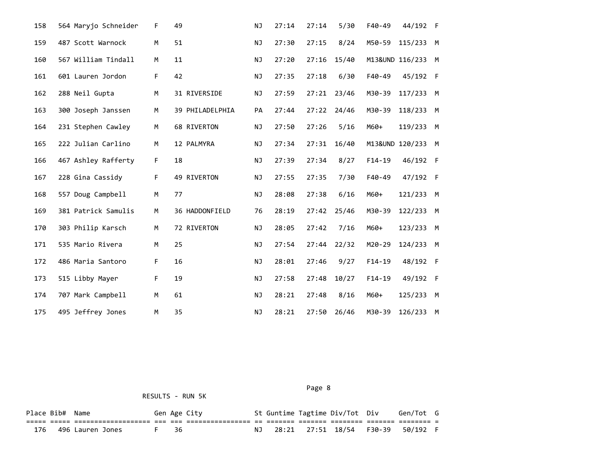| 158 | 564 Maryjo Schneider | F. | 49              | NJ        | 27:14 | 27:14 | 5/30  | F40-49   | 44/192 F          |   |
|-----|----------------------|----|-----------------|-----------|-------|-------|-------|----------|-------------------|---|
| 159 | 487 Scott Warnock    | M  | 51              | <b>NJ</b> | 27:30 | 27:15 | 8/24  | M50-59   | 115/233 M         |   |
| 160 | 567 William Tindall  | М  | 11              | ΝJ        | 27:20 | 27:16 | 15/40 |          | M13&UND 116/233 M |   |
| 161 | 601 Lauren Jordon    | F. | 42              | <b>NJ</b> | 27:35 | 27:18 | 6/30  | F40-49   | 45/192 F          |   |
| 162 | 288 Neil Gupta       | М  | 31 RIVERSIDE    | ΝJ        | 27:59 | 27:21 | 23/46 | M30-39   | 117/233 M         |   |
| 163 | 300 Joseph Janssen   | М  | 39 PHILADELPHIA | PA        | 27:44 | 27:22 | 24/46 | M30-39   | 118/233 M         |   |
| 164 | 231 Stephen Cawley   | М  | 68 RIVERTON     | ΝJ        | 27:50 | 27:26 | 5/16  | M60+     | 119/233           | M |
| 165 | 222 Julian Carlino   | M  | 12 PALMYRA      | <b>NJ</b> | 27:34 | 27:31 | 16/40 |          | M13&UND 120/233 M |   |
| 166 | 467 Ashley Rafferty  | F. | 18              | ΝJ        | 27:39 | 27:34 | 8/27  | $F14-19$ | 46/192 F          |   |
| 167 | 228 Gina Cassidy     | F. | 49 RIVERTON     | ΝJ        | 27:55 | 27:35 | 7/30  | F40-49   | 47/192 F          |   |
| 168 | 557 Doug Campbell    | M  | 77              | ΝJ        | 28:08 | 27:38 | 6/16  | M60+     | 121/233 M         |   |
| 169 | 381 Patrick Samulis  | M  | 36 HADDONFIELD  | 76        | 28:19 | 27:42 | 25/46 | M30-39   | 122/233 M         |   |
| 170 | 303 Philip Karsch    | M  | 72 RIVERTON     | ΝJ        | 28:05 | 27:42 | 7/16  | M60+     | 123/233 M         |   |
| 171 | 535 Mario Rivera     | M  | 25              | <b>NJ</b> | 27:54 | 27:44 | 22/32 | M20-29   | 124/233 M         |   |
| 172 | 486 Maria Santoro    | F. | 16              | ΝJ        | 28:01 | 27:46 | 9/27  | $F14-19$ | 48/192 F          |   |
| 173 | 515 Libby Mayer      | F. | 19              | NJ        | 27:58 | 27:48 | 10/27 | $F14-19$ | 49/192 F          |   |
| 174 | 707 Mark Campbell    | M  | 61              | ΝJ        | 28:21 | 27:48 | 8/16  | M60+     | 125/233 M         |   |
| 175 | 495 Jeffrey Jones    | М  | 35              | ΝJ        | 28:21 | 27:50 | 26/46 | M30-39   | 126/233 M         |   |

Page 8 and 2012 and 2012 and 2012 and 2012 and 2012 and 2012 and 2012 and 2012 and 2012 and 2012 and 2012 and

| Place Bib# Name |                     |      | Gen Age City |  | St Guntime Tagtime Div/Tot Div | Gen/Tot G                            |  |
|-----------------|---------------------|------|--------------|--|--------------------------------|--------------------------------------|--|
|                 | ___________________ |      |              |  |                                |                                      |  |
| 176             | 496 Lauren Jones    | F 36 |              |  |                                | NJ 28:21 27:51 18/54 F30-39 50/192 F |  |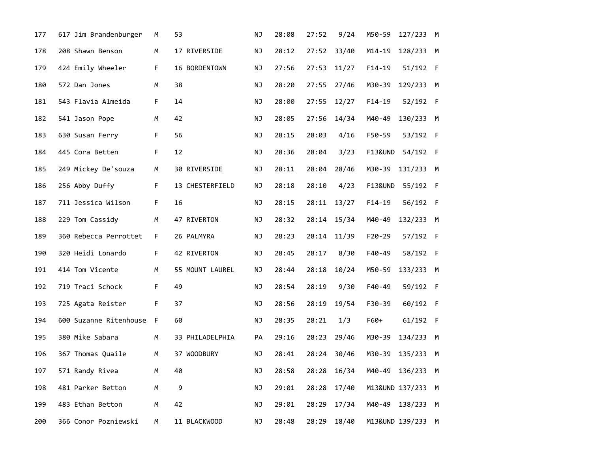| 177 | 617 Jim Brandenburger  | М  | 53              | NJ | 28:08 | 27:52 | 9/24  | M50-59             | 127/233 M         |   |
|-----|------------------------|----|-----------------|----|-------|-------|-------|--------------------|-------------------|---|
| 178 | 208 Shawn Benson       | М  | 17 RIVERSIDE    | ΝJ | 28:12 | 27:52 | 33/40 | $M14 - 19$         | 128/233 M         |   |
| 179 | 424 Emily Wheeler      | F. | 16 BORDENTOWN   | NJ | 27:56 | 27:53 | 11/27 | $F14-19$           | 51/192 F          |   |
| 180 | 572 Dan Jones          | М  | 38              | NJ | 28:20 | 27:55 | 27/46 | M30-39             | 129/233 M         |   |
| 181 | 543 Flavia Almeida     | F. | 14              | NJ | 28:00 | 27:55 | 12/27 | $F14-19$           | 52/192 F          |   |
| 182 | 541 Jason Pope         | М  | 42              | NJ | 28:05 | 27:56 | 14/34 | M40-49             | 130/233 M         |   |
| 183 | 630 Susan Ferry        | F. | 56              | NJ | 28:15 | 28:03 | 4/16  | F50-59             | 53/192 F          |   |
| 184 | 445 Cora Betten        | F  | 12              | ΝJ | 28:36 | 28:04 | 3/23  | <b>F13&amp;UND</b> | 54/192 F          |   |
| 185 | 249 Mickey De'souza    | M  | 30 RIVERSIDE    | ΝJ | 28:11 | 28:04 | 28/46 | M30-39             | 131/233 M         |   |
| 186 | 256 Abby Duffy         | F. | 13 CHESTERFIELD | ΝJ | 28:18 | 28:10 | 4/23  | <b>F13&amp;UND</b> | 55/192 F          |   |
| 187 | 711 Jessica Wilson     | F. | 16              | NJ | 28:15 | 28:11 | 13/27 | $F14-19$           | 56/192 F          |   |
| 188 | 229 Tom Cassidy        | М  | 47 RIVERTON     | NJ | 28:32 | 28:14 | 15/34 | M40-49             | 132/233 M         |   |
| 189 | 360 Rebecca Perrottet  | F. | 26 PALMYRA      | NJ | 28:23 | 28:14 | 11/39 | F20-29             | 57/192 F          |   |
| 190 | 320 Heidi Lonardo      | F. | 42 RIVERTON     | NJ | 28:45 | 28:17 | 8/30  | F40-49             | 58/192 F          |   |
| 191 | 414 Tom Vicente        | M  | 55 MOUNT LAUREL | NJ | 28:44 | 28:18 | 10/24 | M50-59             | 133/233 M         |   |
| 192 | 719 Traci Schock       | F  | 49              | ΝJ | 28:54 | 28:19 | 9/30  | F40-49             | 59/192 F          |   |
| 193 | 725 Agata Reister      | F. | 37              | ΝJ | 28:56 | 28:19 | 19/54 | F30-39             | 60/192 F          |   |
| 194 | 600 Suzanne Ritenhouse | F  | 60              | ΝJ | 28:35 | 28:21 | 1/3   | $F60+$             | 61/192 F          |   |
| 195 | 380 Mike Sabara        | M  | 33 PHILADELPHIA | PA | 29:16 | 28:23 | 29/46 | M30-39             | 134/233           | M |
| 196 | 367 Thomas Quaile      | M  | 37 WOODBURY     | NJ | 28:41 | 28:24 | 30/46 | M30-39             | 135/233           | M |
| 197 | 571 Randy Rivea        | м  | 40              | ΝJ | 28:58 | 28:28 | 16/34 | M40-49             | 136/233 M         |   |
| 198 | 481 Parker Betton      | М  | 9               | ΝJ | 29:01 | 28:28 | 17/40 |                    | M13&UND 137/233 M |   |
| 199 | 483 Ethan Betton       | M  | 42              | ΝJ | 29:01 | 28:29 | 17/34 | M40-49             | 138/233           | M |
| 200 | 366 Conor Pozniewski   | M  | 11 BLACKWOOD    | ΝJ | 28:48 | 28:29 | 18/40 |                    | M13&UND 139/233 M |   |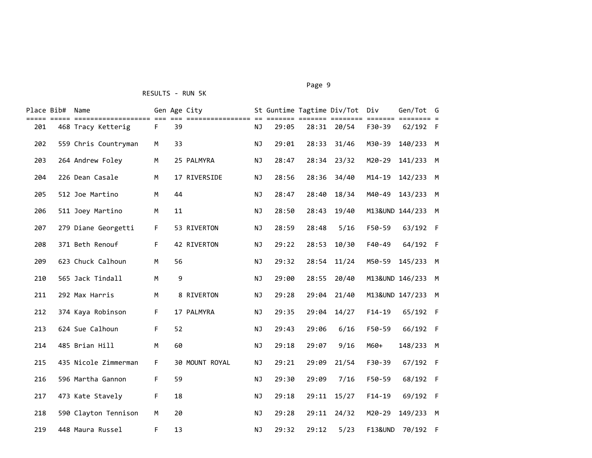#### Page 9 - Page 9 - Page 9 - Page 9 - Page 9 - Page 9 - Page 9 - Page 9 - Page 9 - Page 9 - Page 9

| Place Bib# | Name                 |             |    | Gen Age City   |           |       |       | St Guntime Tagtime Div/Tot Div |                    | Gen/Tot G         |   |
|------------|----------------------|-------------|----|----------------|-----------|-------|-------|--------------------------------|--------------------|-------------------|---|
| 201        | 468 Tracy Ketterig   | F.          | 39 |                | <b>NJ</b> | 29:05 |       | 28:31 20/54                    | $F30-39$           | 62/192 F          |   |
| 202        | 559 Chris Countryman | M           | 33 |                | <b>NJ</b> | 29:01 | 28:33 | 31/46                          | M30-39             | 140/233           | M |
| 203        | 264 Andrew Foley     | M           |    | 25 PALMYRA     | <b>NJ</b> | 28:47 | 28:34 | 23/32                          | M20-29             | 141/233           | M |
| 204        | 226 Dean Casale      | M           |    | 17 RIVERSIDE   | <b>NJ</b> | 28:56 | 28:36 | 34/40                          | $M14 - 19$         | 142/233 M         |   |
| 205        | 512 Joe Martino      | M           | 44 |                | NJ        | 28:47 | 28:40 | 18/34                          | M40-49             | 143/233 M         |   |
| 206        | 511 Joey Martino     | M           | 11 |                | NJ        | 28:50 | 28:43 | 19/40                          |                    | M13&UND 144/233 M |   |
| 207        | 279 Diane Georgetti  | $\mathsf F$ |    | 53 RIVERTON    | <b>NJ</b> | 28:59 | 28:48 | 5/16                           | F50-59             | 63/192 F          |   |
| 208        | 371 Beth Renouf      | F.          |    | 42 RIVERTON    | <b>NJ</b> | 29:22 | 28:53 | 10/30                          | F40-49             | 64/192 F          |   |
| 209        | 623 Chuck Calhoun    | M           | 56 |                | <b>NJ</b> | 29:32 | 28:54 | 11/24                          | M50-59             | 145/233 M         |   |
| 210        | 565 Jack Tindall     | M           | 9  |                | <b>NJ</b> | 29:00 | 28:55 | 20/40                          |                    | M13&UND 146/233 M |   |
| 211        | 292 Max Harris       | M           |    | 8 RIVERTON     | <b>NJ</b> | 29:28 | 29:04 | 21/40                          |                    | M13&UND 147/233 M |   |
| 212        | 374 Kaya Robinson    | F.          |    | 17 PALMYRA     | <b>NJ</b> | 29:35 | 29:04 | 14/27                          | $F14-19$           | 65/192 F          |   |
| 213        | 624 Sue Calhoun      | $\mathsf F$ | 52 |                | <b>NJ</b> | 29:43 | 29:06 | 6/16                           | F50-59             | 66/192 F          |   |
| 214        | 485 Brian Hill       | M           | 60 |                | <b>NJ</b> | 29:18 | 29:07 | 9/16                           | $M60+$             | 148/233 M         |   |
| 215        | 435 Nicole Zimmerman | F.          |    | 30 MOUNT ROYAL | <b>NJ</b> | 29:21 | 29:09 | 21/54                          | F30-39             | 67/192 F          |   |
| 216        | 596 Martha Gannon    | F.          | 59 |                | <b>NJ</b> | 29:30 | 29:09 | 7/16                           | F50-59             | 68/192 F          |   |
| 217        | 473 Kate Stavely     | F           | 18 |                | NJ        | 29:18 | 29:11 | 15/27                          | $F14-19$           | 69/192 F          |   |
| 218        | 590 Clayton Tennison | M           | 20 |                | NJ        | 29:28 | 29:11 | 24/32                          | M20-29             | 149/233 M         |   |
| 219        | 448 Maura Russel     | F           | 13 |                | <b>NJ</b> | 29:32 | 29:12 | 5/23                           | <b>F13&amp;UND</b> | 70/192 F          |   |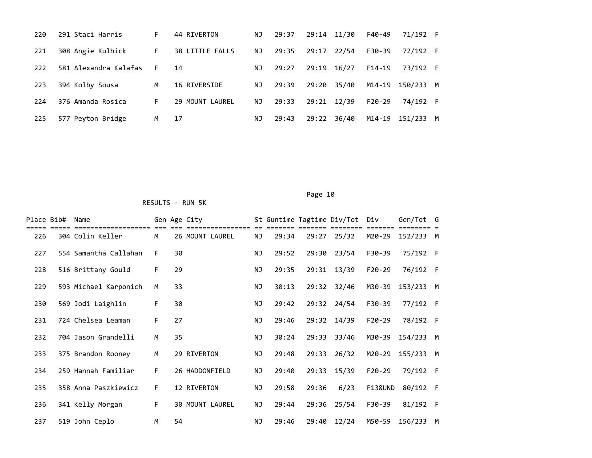| 220 | 291 Staci Harris      | F.   | 44 RIVERTON     | NJ  | 29:37 | 29:14 | 11/30 | F40-49   | 71/192 F  |   |
|-----|-----------------------|------|-----------------|-----|-------|-------|-------|----------|-----------|---|
| 221 | 308 Angie Kulbick     | F.   | 38 LITTLE FALLS | NJ. | 29:35 | 29:17 | 22/54 | F30-39   | 72/192 F  |   |
| 222 | 581 Alexandra Kalafas | $-F$ | 14              | ΝJ  | 29:27 | 29:19 | 16/27 | $F14-19$ | 73/192 F  |   |
| 223 | 394 Kolby Sousa       | M    | 16 RIVERSIDE    | NJ. | 29:39 | 29:20 | 35/40 | M14-19   | 150/233 M |   |
| 224 | 376 Amanda Rosica     | F.   | 29 MOUNT LAUREL | NJ. | 29:33 | 29:21 | 12/39 | $F20-29$ | 74/192 F  |   |
| 225 | 577 Peyton Bridge     | M    | 17              | ΝJ  | 29:43 | 29:22 | 36/40 | M14-19   | 151/233   | M |

| Place Bib# | Name                  |    |    | Gen Age City           |           |       |       | St Guntime Tagtime Div/Tot | Div      | Gen/Tot G |     |
|------------|-----------------------|----|----|------------------------|-----------|-------|-------|----------------------------|----------|-----------|-----|
| 226        | 304 Colin Keller      | M  |    | 26 MOUNT LAUREL        | ΝJ        | 29:34 | 29:27 | 25/32                      | M20-29   | 152/233 M |     |
| 227        | 554 Samantha Callahan | F. | 30 |                        | NJ        | 29:52 | 29:30 | 23/54                      | F30-39   | 75/192 F  |     |
| 228        | 516 Brittany Gould    | F. | 29 |                        | NJ        | 29:35 | 29:31 | 13/39                      | $F20-29$ | 76/192 F  |     |
| 229        | 593 Michael Karponich | M  | 33 |                        | NJ        | 30:13 | 29:32 | 32/46                      | M30-39   | 153/233   | M   |
| 230        | 569 Jodi Laighlin     | F. | 30 |                        | ΝJ        | 29:42 | 29:32 | 24/54                      | F30-39   | 77/192 F  |     |
| 231        | 724 Chelsea Leaman    | F. | 27 |                        | NJ        | 29:46 | 29:32 | 14/39                      | $F20-29$ | 78/192 F  |     |
| 232        | 704 Jason Grandelli   | M  | 35 |                        | NJ        | 30:24 | 29:33 | 33/46                      | M30-39   | 154/233   | M   |
| 233        | 375 Brandon Rooney    | M  |    | 29 RIVERTON            | ΝJ        | 29:48 | 29:33 | 26/32                      | M20-29   | 155/233   | M   |
| 234        | 259 Hannah Familiar   | F. |    | 26 HADDONFIELD         | ΝJ        | 29:40 | 29:33 | 15/39                      | $F20-29$ | 79/192 F  |     |
| 235        | 358 Anna Paszkiewicz  | F. |    | 12 RIVERTON            | NJ        | 29:58 | 29:36 | 6/23                       | F13&UND  | 80/192    | - F |
| 236        | 341 Kelly Morgan      | F. |    | <b>30 MOUNT LAUREL</b> | ΝJ        | 29:44 | 29:36 | 25/54                      | F30-39   | 81/192 F  |     |
| 237        | 519 John Ceplo        | M  | 54 |                        | <b>NJ</b> | 29:46 | 29:40 | 12/24                      | M50-59   | 156/233   | M   |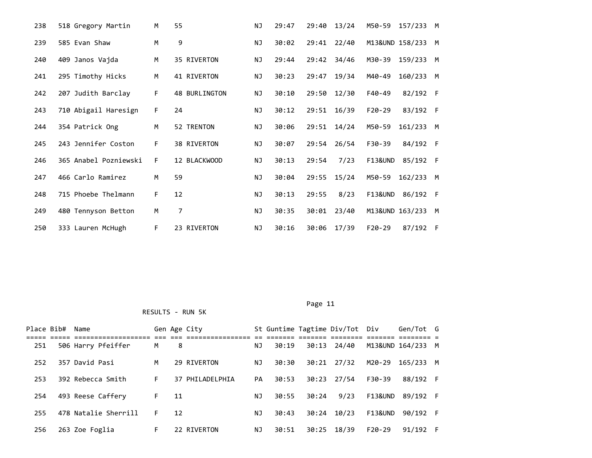| 238 | 518 Gregory Martin    | M  | 55                   | <b>NJ</b> | 29:47 | 29:40 | 13/24 | M50-59<br>157/233 M  |   |
|-----|-----------------------|----|----------------------|-----------|-------|-------|-------|----------------------|---|
| 239 | 585 Evan Shaw         | M  | 9                    | NJ        | 30:02 | 29:41 | 22/40 | M13&UND 158/233      | M |
| 240 | 409 Janos Vajda       | М  | 35 RIVERTON          | ΝJ        | 29:44 | 29:42 | 34/46 | M30-39<br>159/233    | M |
| 241 | 295 Timothy Hicks     | M  | 41 RIVERTON          | ΝJ        | 30:23 | 29:47 | 19/34 | M40-49<br>160/233    | M |
| 242 | 207 Judith Barclay    | F. | <b>48 BURLINGTON</b> | ΝJ        | 30:10 | 29:50 | 12/30 | F40-49<br>82/192 F   |   |
| 243 | 710 Abigail Haresign  | F. | 24                   | ΝJ        | 30:12 | 29:51 | 16/39 | $F20-29$<br>83/192 F |   |
| 244 | 354 Patrick Ong       | M  | 52 TRENTON           | ΝJ        | 30:06 | 29:51 | 14/24 | M50-59<br>161/233    | M |
| 245 | 243 Jennifer Coston   | F. | 38 RIVERTON          | ΝJ        | 30:07 | 29:54 | 26/54 | F30-39<br>84/192 F   |   |
| 246 | 365 Anabel Pozniewski | F. | 12 BLACKWOOD         | ΝJ        | 30:13 | 29:54 | 7/23  | F13&UND<br>85/192 F  |   |
| 247 | 466 Carlo Ramirez     | M  | 59                   | ΝJ        | 30:04 | 29:55 | 15/24 | M50-59<br>162/233    | M |
| 248 | 715 Phoebe Thelmann   | F. | 12                   | ΝJ        | 30:13 | 29:55 | 8/23  | F13&UND<br>86/192 F  |   |
| 249 | 480 Tennyson Betton   | M  | 7                    | ΝJ        | 30:35 | 30:01 | 23/40 | M13&UND 163/233      | M |
| 250 | 333 Lauren McHugh     | F. | 23 RIVERTON          | <b>NJ</b> | 30:16 | 30:06 | 17/39 | $F20-29$<br>87/192 F |   |

| Place Bib# Name |                      |    |    | Gen Age City    |    |       |       | St Guntime Tagtime Div/Tot Div |          | Gen/Tot G         |  |
|-----------------|----------------------|----|----|-----------------|----|-------|-------|--------------------------------|----------|-------------------|--|
|                 |                      |    |    |                 |    |       |       |                                |          |                   |  |
| 251             | 506 Harry Pfeiffer   | M  | 8  |                 | ΝJ | 30:19 | 30:13 | 24/40                          |          | M13&UND 164/233 M |  |
| 252             | 357 David Pasi       | M  |    | 29 RIVERTON     | NJ | 30:30 | 30:21 | 27/32                          | M20-29   | 165/233 M         |  |
|                 |                      |    |    |                 |    |       |       |                                |          |                   |  |
| 253             | 392 Rebecca Smith    | F. |    | 37 PHILADELPHIA | PA | 30:53 | 30:23 | 27/54                          | F30-39   | 88/192 F          |  |
|                 |                      |    |    |                 |    |       |       |                                |          |                   |  |
| 254             | 493 Reese Caffery    | F. | 11 |                 | NJ | 30:55 | 30:24 | 9/23                           | F13&UND  | 89/192 F          |  |
| 255             | 478 Natalie Sherrill | F. | 12 |                 | ΝJ | 30:43 | 30:24 | 10/23                          | F13&UND  | 90/192 F          |  |
|                 |                      |    |    |                 |    |       |       |                                |          |                   |  |
| 256             | 263 Zoe Foglia       | F. |    | 22 RIVERTON     | ΝJ | 30:51 | 30:25 | 18/39                          | $F20-29$ | 91/192 F          |  |
|                 |                      |    |    |                 |    |       |       |                                |          |                   |  |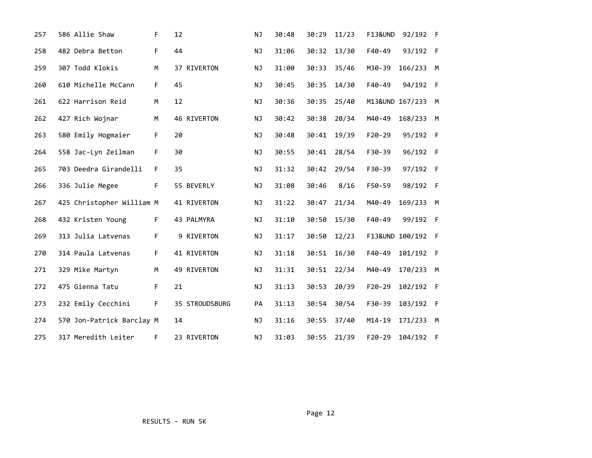| 257 | 586 Allie Shaw            | F  | 12             | <b>NJ</b> | 30:48 | 30:29 | 11/23 | <b>F13&amp;UND</b> | 92/192 F          |   |
|-----|---------------------------|----|----------------|-----------|-------|-------|-------|--------------------|-------------------|---|
| 258 | 482 Debra Betton          | F. | 44             | NJ        | 31:06 | 30:32 | 13/30 | F40-49             | 93/192 F          |   |
| 259 | 307 Todd Klokis           | М  | 37 RIVERTON    | ΝJ        | 31:00 | 30:33 | 35/46 | M30-39             | 166/233 M         |   |
| 260 | 610 Michelle McCann       | F. | 45             | <b>NJ</b> | 30:45 | 30:35 | 14/30 | F40-49             | 94/192 F          |   |
| 261 | 622 Harrison Reid         | M  | 12             | NJ        | 30:36 | 30:35 | 25/40 |                    | M13&UND 167/233 M |   |
| 262 | 427 Rich Wojnar           | M  | 46 RIVERTON    | NJ        | 30:42 | 30:38 | 20/34 | M40-49             | 168/233 M         |   |
| 263 | 580 Emily Hogmaier        | F. | 20             | <b>NJ</b> | 30:48 | 30:41 | 19/39 | $F20-29$           | 95/192 F          |   |
| 264 | 558 Jac-Lyn Zeilman       | F. | 30             | NJ        | 30:55 | 30:41 | 28/54 | F30-39             | 96/192 F          |   |
| 265 | 703 Deedra Girandelli     | F. | 35             | NJ        | 31:32 | 30:42 | 29/54 | F30-39             | 97/192 F          |   |
| 266 | 336 Julie Megee           | F. | 55 BEVERLY     | <b>NJ</b> | 31:08 | 30:46 | 8/16  | F50-59             | 98/192 F          |   |
| 267 | 425 Christopher William M |    | 41 RIVERTON    | ΝJ        | 31:22 | 30:47 | 21/34 | M40-49             | 169/233 M         |   |
| 268 | 432 Kristen Young         | F. | 43 PALMYRA     | ΝJ        | 31:10 | 30:50 | 15/30 | F40-49             | 99/192 F          |   |
| 269 | 313 Julia Latvenas        | F. | 9 RIVERTON     | NJ        | 31:17 | 30:50 | 12/23 |                    | F13&UND 100/192 F |   |
| 270 | 314 Paula Latvenas        | F. | 41 RIVERTON    | NJ        | 31:18 | 30:51 | 16/30 | F40-49             | 101/192 F         |   |
| 271 | 329 Mike Martyn           | M  | 49 RIVERTON    | ΝJ        | 31:31 | 30:51 | 22/34 | M40-49             | 170/233 M         |   |
| 272 | 475 Gienna Tatu           | F. | 21             | ΝJ        | 31:13 | 30:53 | 20/39 | $F20-29$           | 102/192 F         |   |
| 273 | 232 Emily Cecchini        | F. | 35 STROUDSBURG | PA        | 31:13 | 30:54 | 30/54 | F30-39             | 103/192 F         |   |
| 274 | 570 Jon-Patrick Barclay M |    | 14             | NJ        | 31:16 | 30:55 | 37/40 | $M14 - 19$         | 171/233           | M |
| 275 | 317 Meredith Leiter       | F  | 23 RIVERTON    | <b>NJ</b> | 31:03 | 30:55 | 21/39 | F20-29             | 104/192 F         |   |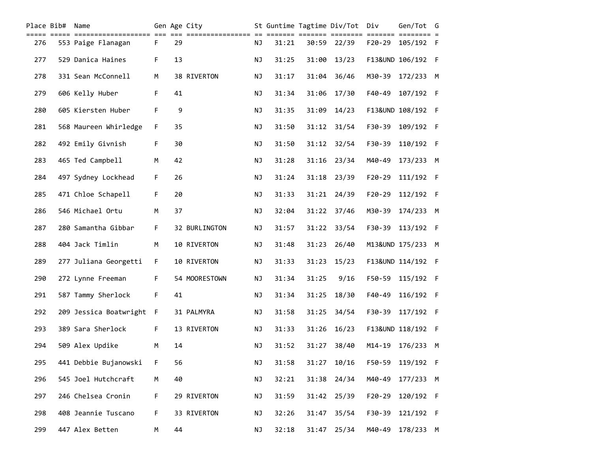| Place Bib# | Name                     |    |    | Gen Age City  |           |       |       | St Guntime Tagtime Div/Tot Div |          | Gen/Tot G         |  |
|------------|--------------------------|----|----|---------------|-----------|-------|-------|--------------------------------|----------|-------------------|--|
| 276        | 553 Paige Flanagan       | F. | 29 |               | ΝJ        | 31:21 |       | 30:59 22/39                    | F20-29   | 105/192 F         |  |
| 277        | 529 Danica Haines        | F  | 13 |               | NJ        | 31:25 | 31:00 | 13/23                          |          | F13&UND 106/192 F |  |
| 278        | 331 Sean McConnell       | M  |    | 38 RIVERTON   | ΝJ        | 31:17 | 31:04 | 36/46                          | M30-39   | 172/233 M         |  |
| 279        | 606 Kelly Huber          | F  | 41 |               | NJ        | 31:34 | 31:06 | 17/30                          | F40-49   | 107/192 F         |  |
| 280        | 605 Kiersten Huber       | F  | 9  |               | NJ        | 31:35 | 31:09 | 14/23                          |          | F13&UND 108/192 F |  |
| 281        | 568 Maureen Whirledge    | F. | 35 |               | NJ        | 31:50 | 31:12 | 31/54                          | F30-39   | 109/192 F         |  |
| 282        | 492 Emily Givnish        | F. | 30 |               | ΝJ        | 31:50 | 31:12 | 32/54                          | F30-39   | 110/192 F         |  |
| 283        | 465 Ted Campbell         | M  | 42 |               | ΝJ        | 31:28 | 31:16 | 23/34                          | M40-49   | 173/233 M         |  |
| 284        | 497 Sydney Lockhead      | F. | 26 |               | ΝJ        | 31:24 | 31:18 | 23/39                          | $F20-29$ | 111/192 F         |  |
| 285        | 471 Chloe Schapell       | F. | 20 |               | NJ        | 31:33 | 31:21 | 24/39                          | $F20-29$ | 112/192 F         |  |
| 286        | 546 Michael Ortu         | M  | 37 |               | NJ        | 32:04 | 31:22 | 37/46                          | M30-39   | 174/233 M         |  |
| 287        | 280 Samantha Gibbar      | F. |    | 32 BURLINGTON | NJ        | 31:57 | 31:22 | 33/54                          | F30-39   | 113/192 F         |  |
| 288        | 404 Jack Timlin          | М  |    | 10 RIVERTON   | NJ        | 31:48 | 31:23 | 26/40                          |          | M13&UND 175/233 M |  |
| 289        | 277 Juliana Georgetti    | F. |    | 10 RIVERTON   | NJ        | 31:33 | 31:23 | 15/23                          |          | F13&UND 114/192 F |  |
| 290        | 272 Lynne Freeman        | F. |    | 54 MOORESTOWN | ΝJ        | 31:34 | 31:25 | 9/16                           | F50-59   | 115/192 F         |  |
| 291        | 587 Tammy Sherlock       | F. | 41 |               | ΝJ        | 31:34 | 31:25 | 18/30                          | F40-49   | 116/192 F         |  |
| 292        | 209 Jessica Boatwright F |    |    | 31 PALMYRA    | ΝJ        | 31:58 | 31:25 | 34/54                          | F30-39   | 117/192 F         |  |
| 293        | 389 Sara Sherlock        | F. |    | 13 RIVERTON   | NJ        | 31:33 | 31:26 | 16/23                          |          | F13&UND 118/192 F |  |
| 294        | 509 Alex Updike          | M  | 14 |               | NJ        | 31:52 | 31:27 | 38/40                          | M14-19   | 176/233 M         |  |
| 295        | 441 Debbie Bujanowski    | F. | 56 |               | ΝJ        | 31:58 | 31:27 | 10/16                          | F50-59   | 119/192 F         |  |
| 296        | 545 Joel Hutchcraft      | М  | 40 |               | ΝJ        | 32:21 | 31:38 | 24/34                          | M40-49   | 177/233 M         |  |
| 297        | 246 Chelsea Cronin       | F. |    | 29 RIVERTON   | <b>NJ</b> | 31:59 | 31:42 | 25/39                          | F20-29   | 120/192 F         |  |
| 298        | 408 Jeannie Tuscano      | F. |    | 33 RIVERTON   | ΝJ        | 32:26 | 31:47 | 35/54                          | F30-39   | 121/192 F         |  |
| 299        | 447 Alex Betten          | М  | 44 |               | ΝJ        | 32:18 | 31:47 | 25/34                          | M40-49   | 178/233 M         |  |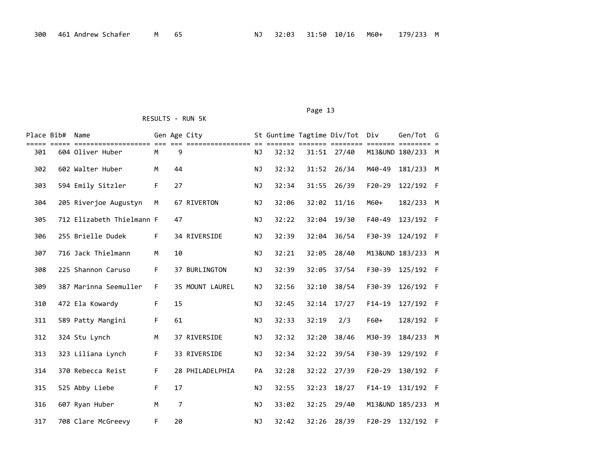| Place Bib# | Name                      |    |    | Gen Age City    |           |       |       | St Guntime Tagtime Div/Tot Div<br>===== ====== ======= ======= ======= = |                 | Gen/Tot G         |   |
|------------|---------------------------|----|----|-----------------|-----------|-------|-------|--------------------------------------------------------------------------|-----------------|-------------------|---|
| 301        | 604 Oliver Huber          | M  | 9  |                 | <b>NJ</b> | 32:32 |       | 31:51 27/40                                                              |                 | M13&UND 180/233 M |   |
| 302        | 602 Walter Huber          | M  | 44 |                 | NJ        | 32:32 | 31:52 | 26/34                                                                    | M40-49          | 181/233 M         |   |
| 303        | 594 Emily Sitzler         | F. | 27 |                 | NJ        | 32:34 | 31:55 | 26/39                                                                    | $F20-29$        | 122/192 F         |   |
| 304        | 205 Riverjoe Augustyn     | М  |    | 67 RIVERTON     | NJ        | 32:06 | 32:02 | 11/16                                                                    | M60+            | 182/233 M         |   |
| 305        | 712 Elizabeth Thielmann F |    | 47 |                 | <b>NJ</b> | 32:22 | 32:04 | 19/30                                                                    | $F40-49$        | 123/192 F         |   |
| 306        | 255 Brielle Dudek         | F. |    | 34 RIVERSIDE    | <b>NJ</b> | 32:39 | 32:04 | 36/54                                                                    | F30-39          | 124/192 F         |   |
| 307        | 716 Jack Thielmann        | M  | 10 |                 | <b>NJ</b> | 32:21 | 32:05 | 28/40                                                                    |                 | M13&UND 183/233 M |   |
| 308        | 225 Shannon Caruso        | F. |    | 37 BURLINGTON   | <b>NJ</b> | 32:39 | 32:05 | 37/54                                                                    | $F30-39$        | 125/192 F         |   |
| 309        | 387 Marinna Seemuller     | F. |    | 35 MOUNT LAUREL | <b>NJ</b> | 32:56 | 32:10 | 38/54                                                                    | F30-39          | 126/192 F         |   |
| 310        | 472 Ela Kowardy           | F. | 15 |                 | ΝJ        | 32:45 | 32:14 | 17/27                                                                    | $F14-19$        | 127/192 F         |   |
| 311        | 589 Patty Mangini         | F. | 61 |                 | ΝJ        | 32:33 | 32:19 | 2/3                                                                      | F60+            | 128/192 F         |   |
| 312        | 324 Stu Lynch             | M  |    | 37 RIVERSIDE    | ΝJ        | 32:32 | 32:20 | 38/46                                                                    | M30-39          | 184/233           | M |
| 313        | 323 Liliana Lynch         | F. |    | 33 RIVERSIDE    | <b>NJ</b> | 32:34 | 32:22 | 39/54                                                                    | F30-39          | 129/192 F         |   |
| 314        | 370 Rebecca Reist         | F. |    | 28 PHILADELPHIA | PA        | 32:28 | 32:22 | 27/39                                                                    | $F20-29$        | 130/192 F         |   |
| 315        | 525 Abby Liebe            | F. | 17 |                 | <b>NJ</b> | 32:55 | 32:23 | 18/27                                                                    | $F14-19$        | 131/192 F         |   |
| 316        | 607 Ryan Huber            | M  | 7  |                 | <b>NJ</b> | 33:02 | 32:25 | 29/40                                                                    | M13&UND 185/233 |                   | M |
| 317        | 708 Clare McGreevy        | F. | 20 |                 | NJ.       | 32:42 | 32:26 | 28/39                                                                    | $F20-29$        | 132/192 F         |   |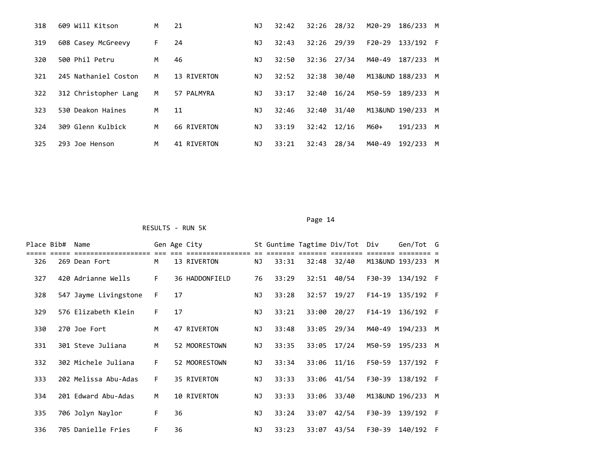| 318 | 609 Will Kitson      | м  | 21          | ΝJ        | 32:42 | 32:26 | 28/32 | M20-29   | 186/233         | м |
|-----|----------------------|----|-------------|-----------|-------|-------|-------|----------|-----------------|---|
| 319 | 608 Casey McGreevy   | F. | 24          | ΝJ        | 32:43 | 32:26 | 29/39 | $F20-29$ | 133/192 F       |   |
| 320 | 500 Phil Petru       | м  | 46          | ΝJ        | 32:50 | 32:36 | 27/34 | M40-49   | 187/233         | M |
| 321 | 245 Nathaniel Coston | м  | 13 RIVERTON | ΝJ        | 32:52 | 32:38 | 30/40 |          | M13&UND 188/233 | м |
| 322 | 312 Christopher Lang | м  | 57 PALMYRA  | ΝJ        | 33:17 | 32:40 | 16/24 | M50-59   | 189/233         | M |
| 323 | 530 Deakon Haines    | м  | 11          | ΝJ        | 32:46 | 32:40 | 31/40 |          | M13&UND 190/233 | M |
| 324 | 309 Glenn Kulbick    | м  | 66 RIVERTON | ΝJ        | 33:19 | 32:42 | 12/16 | M60+     | 191/233         | M |
| 325 | 293 Joe Henson       | M  | 41 RIVERTON | <b>NJ</b> | 33:21 | 32:43 | 28/34 | M40-49   | 192/233         | м |

Page 14

| Place Bib# | Name                  |    |    | Gen Age City   |    |       |       | St Guntime Tagtime Div/Tot | Div      | Gen/Tot G         |   |
|------------|-----------------------|----|----|----------------|----|-------|-------|----------------------------|----------|-------------------|---|
| 326        | 269 Dean Fort         | M  |    | 13 RIVERTON    | ΝJ | 33:31 | 32:48 | 32/40                      |          | M13&UND 193/233 M |   |
| 327        | 420 Adrianne Wells    | F. |    | 36 HADDONFIELD | 76 | 33:29 | 32:51 | 40/54                      | F30-39   | 134/192 F         |   |
| 328        | 547 Jayme Livingstone | F. | 17 |                | ΝJ | 33:28 | 32:57 | 19/27                      | F14-19   | 135/192 F         |   |
| 329        | 576 Elizabeth Klein   | F. | 17 |                | NJ | 33:21 | 33:00 | 20/27                      | $F14-19$ | 136/192 F         |   |
| 330        | 270 Joe Fort          | M  |    | 47 RIVERTON    | ΝJ | 33:48 | 33:05 | 29/34                      | M40-49   | 194/233           | M |
| 331        | 301 Steve Juliana     | M  |    | 52 MOORESTOWN  | ΝJ | 33:35 | 33:05 | 17/24                      | M50-59   | 195/233           | M |
| 332        | 302 Michele Juliana   | F. |    | 52 MOORESTOWN  | ΝJ | 33:34 | 33:06 | 11/16                      | F50-59   | 137/192 F         |   |
| 333        | 202 Melissa Abu-Adas  | F. |    | 35 RIVERTON    | ΝJ | 33:33 | 33:06 | 41/54                      | F30-39   | 138/192 F         |   |
| 334        | 201 Edward Abu-Adas   | M  |    | 10 RIVERTON    | NJ | 33:33 | 33:06 | 33/40                      |          | M13&UND 196/233   | M |
| 335        | 706 Jolyn Naylor      | F. | 36 |                | ΝJ | 33:24 | 33:07 | 42/54                      | F30-39   | 139/192 F         |   |
| 336        | 705 Danielle Fries    | F. | 36 |                | NJ | 33:23 | 33:07 | 43/54                      | F30-39   | 140/192 F         |   |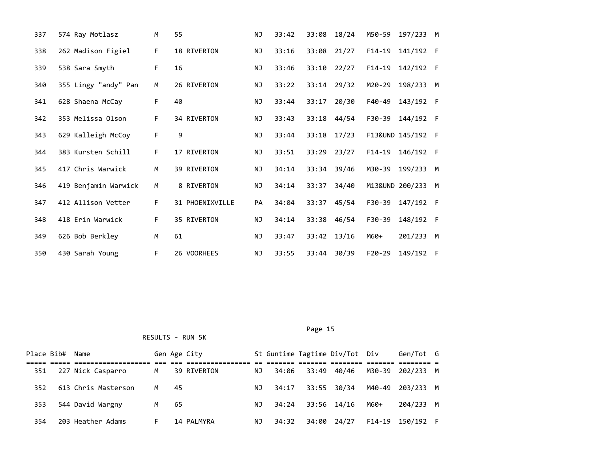| 337 | 574 Ray Motlasz      | M  | 55              | <b>NJ</b> | 33:42 | 33:08 | 18/24 | M50-59   | 197/233           | M   |
|-----|----------------------|----|-----------------|-----------|-------|-------|-------|----------|-------------------|-----|
| 338 | 262 Madison Figiel   | F. | 18 RIVERTON     | NJ        | 33:16 | 33:08 | 21/27 | $F14-19$ | 141/192           | - F |
| 339 | 538 Sara Smyth       | F. | 16              | ΝJ        | 33:46 | 33:10 | 22/27 | $F14-19$ | 142/192 F         |     |
| 340 | 355 Lingy "andy" Pan | M  | 26 RIVERTON     | NJ        | 33:22 | 33:14 | 29/32 | M20-29   | 198/233           | M   |
| 341 | 628 Shaena McCay     | F. | 40              | ΝJ        | 33:44 | 33:17 | 20/30 | F40-49   | 143/192           | - F |
| 342 | 353 Melissa Olson    | F  | 34 RIVERTON     | <b>NJ</b> | 33:43 | 33:18 | 44/54 | F30-39   | 144/192 F         |     |
| 343 | 629 Kalleigh McCoy   | F  | 9               | ΝJ        | 33:44 | 33:18 | 17/23 |          | F13&UND 145/192 F |     |
| 344 | 383 Kursten Schill   | F  | 17 RIVERTON     | <b>NJ</b> | 33:51 | 33:29 | 23/27 | $F14-19$ | 146/192           | - F |
| 345 | 417 Chris Warwick    | M  | 39 RIVERTON     | ΝJ        | 34:14 | 33:34 | 39/46 | M30-39   | 199/233           | M   |
| 346 | 419 Benjamin Warwick | M  | 8 RIVERTON      | <b>NJ</b> | 34:14 | 33:37 | 34/40 |          | M13&UND 200/233   | M   |
| 347 | 412 Allison Vetter   | F. | 31 PHOENIXVILLE | PA        | 34:04 | 33:37 | 45/54 | F30-39   | 147/192 F         |     |
| 348 | 418 Erin Warwick     | F  | 35 RIVERTON     | <b>NJ</b> | 34:14 | 33:38 | 46/54 | F30-39   | 148/192 F         |     |
| 349 | 626 Bob Berkley      | M  | 61              | NJ        | 33:47 | 33:42 | 13/16 | M60+     | 201/233           | M   |
| 350 | 430 Sarah Young      | F  | 26 VOORHEES     | NJ        | 33:55 | 33:44 | 30/39 | $F20-29$ | 149/192 F         |     |

|     | Place Bib# Name |                     |    |     | Gen Age City |     |       |       | St Guntime Tagtime Div/Tot Div |      | Gen/Tot G        |  |
|-----|-----------------|---------------------|----|-----|--------------|-----|-------|-------|--------------------------------|------|------------------|--|
|     |                 |                     |    |     |              |     |       |       |                                |      |                  |  |
| 351 |                 | 227 Nick Casparro   | M  |     | 39 RIVERTON  | NJ. | 34:06 | 33:49 | 40/46                          |      | M30-39 202/233 M |  |
| 352 |                 | 613 Chris Masterson | M  | -45 |              | ΝJ  | 34:17 |       | 33:55 30/34                    |      | M40-49 203/233 M |  |
| 353 |                 | 544 David Wargny    | M  | 65  |              | ΝJ  | 34:24 |       | 33:56 14/16                    | M60+ | 204/233 M        |  |
| 354 |                 | 203 Heather Adams   | F. |     | 14 PALMYRA   | ΝJ  | 34:32 | 34:00 | 24/27                          |      | F14-19 150/192 F |  |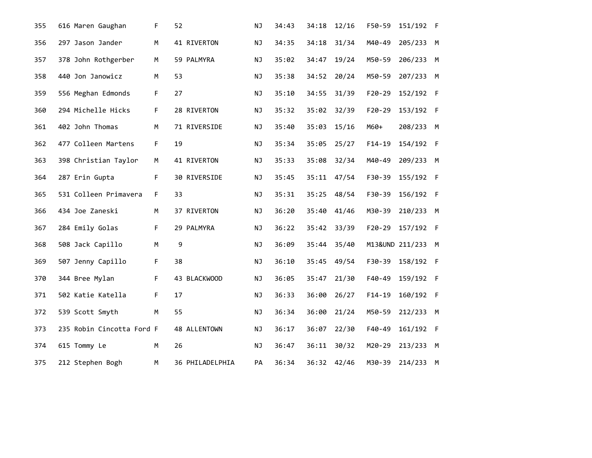| 355 |                 | 616 Maren Gaughan         | F  | 52              | NJ        | 34:43 | 34:18 | 12/16 | F50-59     | 151/192 F       |   |
|-----|-----------------|---------------------------|----|-----------------|-----------|-------|-------|-------|------------|-----------------|---|
| 356 |                 | 297 Jason Jander          | M  | 41 RIVERTON     | NJ        | 34:35 | 34:18 | 31/34 | M40-49     | 205/233         | M |
| 357 |                 | 378 John Rothgerber       | M  | 59 PALMYRA      | NJ        | 35:02 | 34:47 | 19/24 | M50-59     | 206/233         | M |
| 358 |                 | 440 Jon Janowicz          | M  | 53              | NJ        | 35:38 | 34:52 | 20/24 | M50-59     | 207/233 M       |   |
| 359 |                 | 556 Meghan Edmonds        | F  | 27              | <b>NJ</b> | 35:10 | 34:55 | 31/39 | $F20 - 29$ | 152/192 F       |   |
| 360 |                 | 294 Michelle Hicks        | F. | 28 RIVERTON     | NJ        | 35:32 | 35:02 | 32/39 | $F20 - 29$ | 153/192 F       |   |
| 361 | 402 John Thomas |                           | M  | 71 RIVERSIDE    | <b>NJ</b> | 35:40 | 35:03 | 15/16 | $M60+$     | 208/233 M       |   |
| 362 |                 | 477 Colleen Martens       | F. | 19              | ΝJ        | 35:34 | 35:05 | 25/27 | $F14-19$   | 154/192 F       |   |
| 363 |                 | 398 Christian Taylor      | M  | 41 RIVERTON     | <b>NJ</b> | 35:33 | 35:08 | 32/34 | M40-49     | 209/233         | M |
| 364 | 287 Erin Gupta  |                           | F. | 30 RIVERSIDE    | <b>NJ</b> | 35:45 | 35:11 | 47/54 | F30-39     | 155/192 F       |   |
| 365 |                 | 531 Colleen Primavera     | F. | 33              | NJ        | 35:31 | 35:25 | 48/54 | F30-39     | 156/192 F       |   |
| 366 | 434 Joe Zaneski |                           | M  | 37 RIVERTON     | <b>NJ</b> | 36:20 | 35:40 | 41/46 | M30-39     | 210/233 M       |   |
| 367 | 284 Emily Golas |                           | F. | 29 PALMYRA      | NJ        | 36:22 | 35:42 | 33/39 | $F20-29$   | 157/192 F       |   |
| 368 |                 | 508 Jack Capillo          | M  | 9               | ΝJ        | 36:09 | 35:44 | 35/40 |            | M13&UND 211/233 | M |
| 369 |                 | 507 Jenny Capillo         | F  | 38              | NJ        | 36:10 | 35:45 | 49/54 | F30-39     | 158/192 F       |   |
| 370 | 344 Bree Mylan  |                           | F  | 43 BLACKWOOD    | <b>NJ</b> | 36:05 | 35:47 | 21/30 | F40-49     | 159/192 F       |   |
| 371 |                 | 502 Katie Katella         | F. | 17              | NJ        | 36:33 | 36:00 | 26/27 | $F14-19$   | 160/192 F       |   |
| 372 | 539 Scott Smyth |                           | M  | 55              | <b>NJ</b> | 36:34 | 36:00 | 21/24 | M50-59     | 212/233 M       |   |
| 373 |                 | 235 Robin Cincotta Ford F |    | 48 ALLENTOWN    | NJ        | 36:17 | 36:07 | 22/30 | F40-49     | 161/192 F       |   |
| 374 | 615 Tommy Le    |                           | M  | 26              | ΝJ        | 36:47 | 36:11 | 30/32 | M20-29     | 213/233 M       |   |
| 375 |                 | 212 Stephen Bogh          | M  | 36 PHILADELPHIA | PA        | 36:34 | 36:32 | 42/46 | M30-39     | 214/233 M       |   |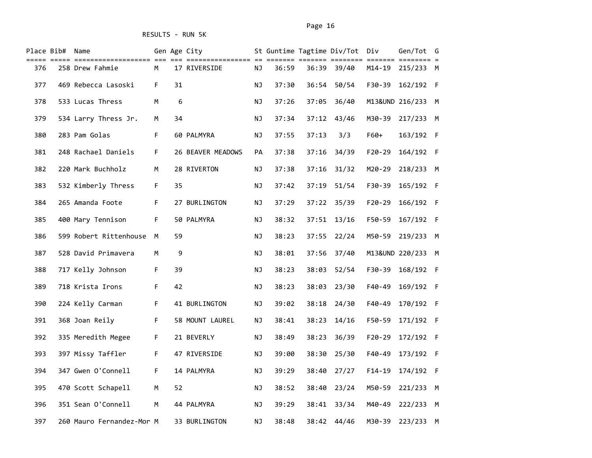| Place Bib# | Name                      |             |    | Gen Age City      |           |       |       | St Guntime Tagtime Div/Tot Div |          | Gen/Tot G         |   |
|------------|---------------------------|-------------|----|-------------------|-----------|-------|-------|--------------------------------|----------|-------------------|---|
| 376        | 258 Drew Fahmie           | М           |    | 17 RIVERSIDE      | ΝJ        | 36:59 | 36:39 | 39/40                          | M14-19   | 215/233 M         |   |
| 377        | 469 Rebecca Lasoski       | F.          | 31 |                   | ΝJ        | 37:30 | 36:54 | 50/54                          | F30-39   | 162/192 F         |   |
| 378        | 533 Lucas Thress          | M           | 6  |                   | ΝJ        | 37:26 | 37:05 | 36/40                          |          | M13&UND 216/233   | M |
| 379        | 534 Larry Thress Jr.      | М           | 34 |                   | ΝJ        | 37:34 | 37:12 | 43/46                          | M30-39   | 217/233 M         |   |
| 380        | 283 Pam Golas             | F.          |    | 60 PALMYRA        | ΝJ        | 37:55 | 37:13 | 3/3                            | $F60+$   | 163/192 F         |   |
| 381        | 248 Rachael Daniels       | $\mathsf F$ |    | 26 BEAVER MEADOWS | PA        | 37:38 | 37:16 | 34/39                          | $F20-29$ | 164/192 F         |   |
| 382        | 220 Mark Buchholz         | М           |    | 28 RIVERTON       | ΝJ        | 37:38 | 37:16 | 31/32                          | M20-29   | 218/233 M         |   |
| 383        | 532 Kimberly Thress       | F.          | 35 |                   | ΝJ        | 37:42 | 37:19 | 51/54                          | F30-39   | 165/192 F         |   |
| 384        | 265 Amanda Foote          | $\mathsf F$ |    | 27 BURLINGTON     | ΝJ        | 37:29 | 37:22 | 35/39                          | $F20-29$ | 166/192 F         |   |
| 385        | 400 Mary Tennison         | F           |    | 50 PALMYRA        | ΝJ        | 38:32 | 37:51 | 13/16                          | F50-59   | 167/192 F         |   |
| 386        | 599 Robert Rittenhouse    | M           | 59 |                   | ΝJ        | 38:23 | 37:55 | 22/24                          | M50-59   | 219/233 M         |   |
| 387        | 528 David Primavera       | М           | 9  |                   | <b>NJ</b> | 38:01 | 37:56 | 37/40                          |          | M13&UND 220/233 M |   |
| 388        | 717 Kelly Johnson         | F           | 39 |                   | <b>NJ</b> | 38:23 | 38:03 | 52/54                          | F30-39   | 168/192 F         |   |
| 389        | 718 Krista Irons          | F.          | 42 |                   | ΝJ        | 38:23 | 38:03 | 23/30                          | F40-49   | 169/192 F         |   |
| 390        | 224 Kelly Carman          | F.          |    | 41 BURLINGTON     | ΝJ        | 39:02 | 38:18 | 24/30                          | F40-49   | 170/192 F         |   |
| 391        | 368 Joan Reily            | F           |    | 58 MOUNT LAUREL   | ΝJ        | 38:41 | 38:23 | 14/16                          | F50-59   | 171/192 F         |   |
| 392        | 335 Meredith Megee        | F.          |    | 21 BEVERLY        | ΝJ        | 38:49 | 38:23 | 36/39                          | $F20-29$ | 172/192 F         |   |
| 393        | 397 Missy Taffler         | F.          |    | 47 RIVERSIDE      | ΝJ        | 39:00 | 38:30 | 25/30                          | F40-49   | 173/192 F         |   |
| 394        | 347 Gwen O'Connell        | F.          |    | 14 PALMYRA        | ΝJ        | 39:29 | 38:40 | 27/27                          | $F14-19$ | 174/192 F         |   |
| 395        | 470 Scott Schapell        | M           | 52 |                   | ΝJ        | 38:52 | 38:40 | 23/24                          | M50-59   | 221/233 M         |   |
| 396        | 351 Sean O'Connell        | M           |    | 44 PALMYRA        | ΝJ        | 39:29 | 38:41 | 33/34                          | M40-49   | 222/233 M         |   |
| 397        | 260 Mauro Fernandez-Mor M |             |    | 33 BURLINGTON     | <b>NJ</b> | 38:48 | 38:42 | 44/46                          | M30-39   | 223/233 M         |   |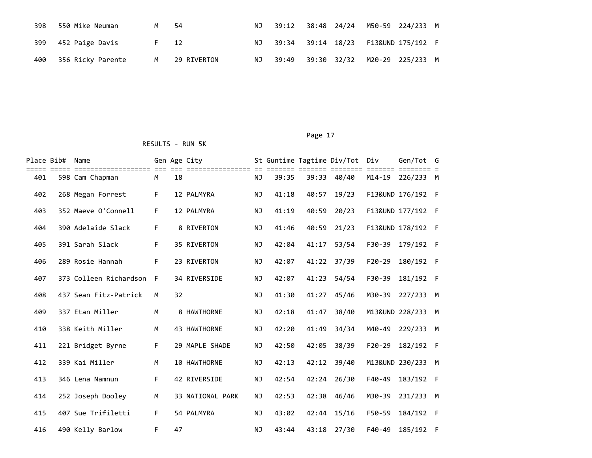| 398 | 550 Mike Neuman   | M    | -54         | NJ - | 39:12 | 38:48 24/24 | M50-59 224/233 M                                   |  |
|-----|-------------------|------|-------------|------|-------|-------------|----------------------------------------------------|--|
| 399 | 452 Paige Davis   | F 12 |             | NJ - |       |             | 39:34    39:14    18/23    F13&UND    175/192    F |  |
| 400 | 356 Ricky Parente | м    | 29 RIVERTON |      |       |             | NJ 39:49 39:30 32/32 M20-29 225/233 M              |  |

### Page 17

| Place Bib# | Name                                  |             |    | Gen Age City     |           |       |       | St Guntime Tagtime Div/Tot | Div                 | Gen/Tot G         |     |
|------------|---------------------------------------|-------------|----|------------------|-----------|-------|-------|----------------------------|---------------------|-------------------|-----|
| 401        | ==================<br>598 Cam Chapman | M           | 18 | ==============   | <b>NJ</b> | 39:35 | 39:33 | 40/40                      | =====<br>$M14 - 19$ | 226/233           | M   |
| 402        | 268 Megan Forrest                     | $\mathsf F$ |    | 12 PALMYRA       | NJ        | 41:18 | 40:57 | 19/23                      |                     | F13&UND 176/192 F |     |
| 403        | 352 Maeve O'Connell                   | F           |    | 12 PALMYRA       | NJ        | 41:19 | 40:59 | 20/23                      |                     | F13&UND 177/192 F |     |
| 404        | 390 Adelaide Slack                    | F           |    | 8 RIVERTON       | <b>NJ</b> | 41:46 | 40:59 | 21/23                      |                     | F13&UND 178/192   | - F |
| 405        | 391 Sarah Slack                       | $\mathsf F$ |    | 35 RIVERTON      | <b>NJ</b> | 42:04 | 41:17 | 53/54                      | F30-39              | 179/192 F         |     |
| 406        | 289 Rosie Hannah                      | F           |    | 23 RIVERTON      | NJ        | 42:07 | 41:22 | 37/39                      | $F20-29$            | 180/192 F         |     |
| 407        | 373 Colleen Richardson                | F           |    | 34 RIVERSIDE     | <b>NJ</b> | 42:07 | 41:23 | 54/54                      | F30-39              | 181/192           | - F |
| 408        | 437 Sean Fitz-Patrick                 | M           | 32 |                  | <b>NJ</b> | 41:30 | 41:27 | 45/46                      | M30-39              | 227/233           | M   |
| 409        | 337 Etan Miller                       | M           |    | 8 HAWTHORNE      | <b>NJ</b> | 42:18 | 41:47 | 38/40                      |                     | M13&UND 228/233   | M   |
| 410        | 338 Keith Miller                      | M           |    | 43 HAWTHORNE     | <b>NJ</b> | 42:20 | 41:49 | 34/34                      | M40-49              | 229/233           | M   |
| 411        | 221 Bridget Byrne                     | $\mathsf F$ |    | 29 MAPLE SHADE   | <b>NJ</b> | 42:50 | 42:05 | 38/39                      | $F20-29$            | 182/192           | - F |
| 412        | 339 Kai Miller                        | M           |    | 10 HAWTHORNE     | <b>NJ</b> | 42:13 | 42:12 | 39/40                      |                     | M13&UND 230/233   | M   |
| 413        | 346 Lena Namnun                       | $\mathsf F$ |    | 42 RIVERSIDE     | <b>NJ</b> | 42:54 | 42:24 | 26/30                      | F40-49              | 183/192 F         |     |
| 414        | 252 Joseph Dooley                     | M           |    | 33 NATIONAL PARK | <b>NJ</b> | 42:53 | 42:38 | 46/46                      | M30-39              | 231/233           | M   |
| 415        | 407 Sue Trifiletti                    | F           |    | 54 PALMYRA       | <b>NJ</b> | 43:02 | 42:44 | 15/16                      | F50-59              | 184/192           | - F |
| 416        | 490 Kelly Barlow                      | F           | 47 |                  | <b>NJ</b> | 43:44 | 43:18 | 27/30                      | F40-49              | 185/192           | - F |